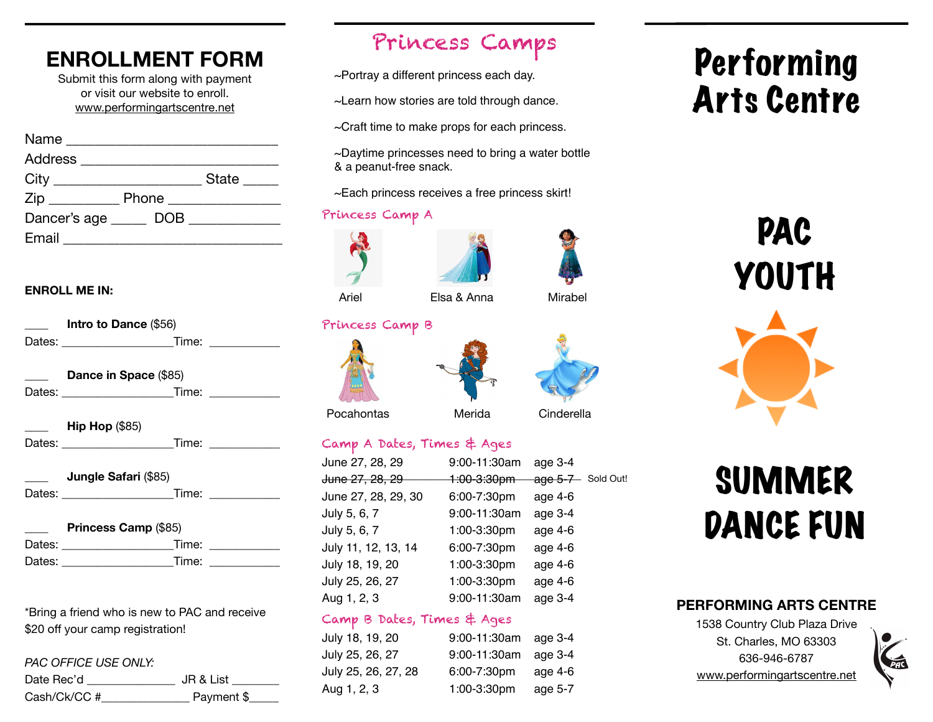### **ENROLLMENT FORM**

Submit this form along with payment or visit our website to enroll. [www.performingartscentre.net](http://www.performingartscentre.net)

| Address _________________ |              |
|---------------------------|--------------|
|                           | State ______ |
|                           |              |
| Dancer's age DOB          |              |
|                           |              |

#### **ENROLL ME IN:**

| Intro to Dance (\$56)                                                           |                    |
|---------------------------------------------------------------------------------|--------------------|
|                                                                                 |                    |
| Dance in Space (\$85)                                                           |                    |
| <b>Hip Hop (\$85)</b><br>Dates: __________________________Time: _______________ |                    |
| <b>Jungle Safari (\$85)</b>                                                     | Time: ____________ |
| <b>Princess Camp (\$85)</b>                                                     |                    |
| Dates: _____________________                                                    | Time: ____________ |
|                                                                                 | Time: _________    |

\*Bring a friend who is new to PAC and receive \$20 off your camp registration!

#### *PAC OFFICE USE ONLY:*

| Date Rec'd   | JR & List  |
|--------------|------------|
| Cash/Ck/CC # | Payment \$ |

### Princess Camps

~Portray a different princess each day.

~Learn how stories are told through dance.

~Craft time to make props for each princess.

~Daytime princesses need to bring a water bottle & a peanut-free snack.

~Each princess receives a free princess skirt!

#### Princess Camp A

Princess Camp B





Ariel **Elsa & Anna** Mirabel



Pocahontas Merida Cinderella

#### Camp A Dates, Times & Ages

| June 27, 28, 29     | 9:00-11:30am | age $3-4$         |
|---------------------|--------------|-------------------|
| June 27, 28, 29     | 1:00-3:30pm  | age 5-7 Sold Out! |
| June 27, 28, 29, 30 | 6:00-7:30pm  | age 4-6           |
| July 5, 6, 7        | 9:00-11:30am | age 3-4           |
| July 5, 6, 7        | 1:00-3:30pm  | age 4-6           |
| July 11, 12, 13, 14 | 6:00-7:30pm  | age 4-6           |
| July 18, 19, 20     | 1:00-3:30pm  | age 4-6           |
| July 25, 26, 27     | 1:00-3:30pm  | age 4-6           |
| Aug 1, 2, 3         | 9:00-11:30am | age 3-4           |
|                     |              |                   |

#### Camp B Dates, Times & Ages

| July 18, 19, 20     | 9:00-11:30am age 3-4 |         |
|---------------------|----------------------|---------|
| July 25, 26, 27     | 9:00-11:30am age 3-4 |         |
| July 25, 26, 27, 28 | 6:00-7:30pm          | age 4-6 |
| Aug 1, 2, 3         | 1:00-3:30pm          | age 5-7 |

# Performing Arts Centre

# PAC YOUTH



# SUMMER DANCE FUN

#### **PERFORMING ARTS CENTRE**

1538 Country Club Plaza Drive St. Charles, MO 63303 636-946-6787 [www.performingartscentre.net](http://www.performingartscentre.net)